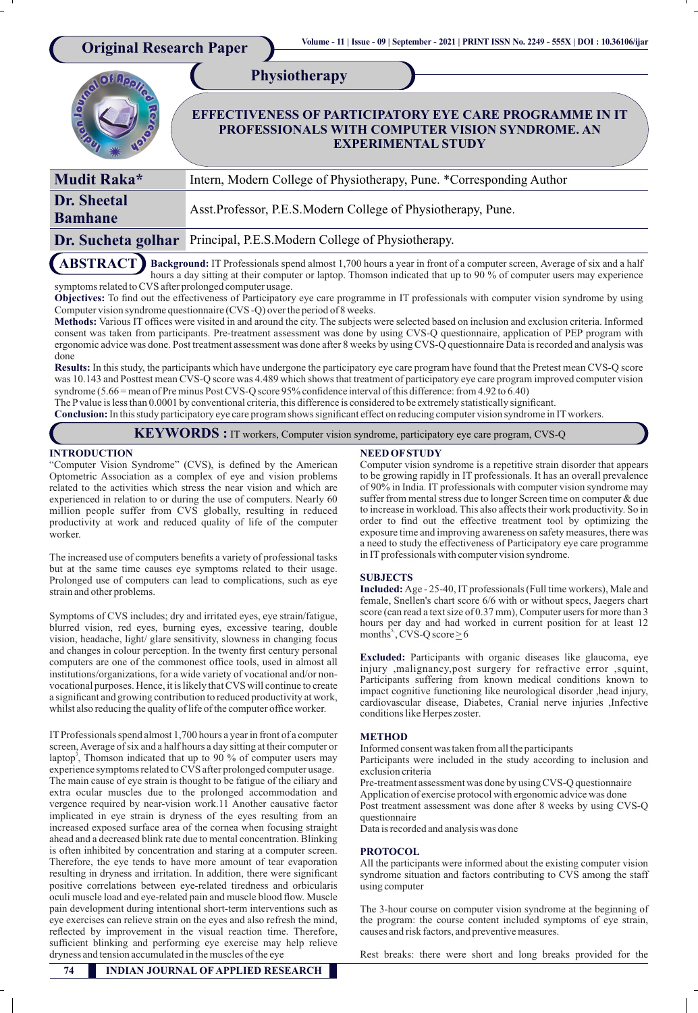| <b>Original Research Paper</b>                                                                                                           | Volume - 11   Issue - 09   September - 2021   PRINT ISSN No. 2249 - 555X   DOI : 10.36106/ijar<br><b>Physiotherapy</b><br><b>EFFECTIVENESS OF PARTICIPATORY EYE CARE PROGRAMME IN IT</b><br>PROFESSIONALS WITH COMPUTER VISION SYNDROME. AN<br><b>EXPERIMENTAL STUDY</b> |  |  |
|------------------------------------------------------------------------------------------------------------------------------------------|--------------------------------------------------------------------------------------------------------------------------------------------------------------------------------------------------------------------------------------------------------------------------|--|--|
| Mudit Raka*                                                                                                                              | Intern, Modern College of Physiotherapy, Pune. *Corresponding Author                                                                                                                                                                                                     |  |  |
| <b>Dr.</b> Sheetal<br><b>Bamhane</b>                                                                                                     | Asst.Professor, P.E.S.Modern College of Physiotherapy, Pune.                                                                                                                                                                                                             |  |  |
| Dr. Sucheta golhar                                                                                                                       | Principal, P.E.S.Modern College of Physiotherapy.                                                                                                                                                                                                                        |  |  |
| <b>ABSTRACT</b><br>Background: IT Professionals spend almost 1,700 hours a year in front of a computer screen, Average of six and a half |                                                                                                                                                                                                                                                                          |  |  |

hours a day sitting at their computer or laptop. Thomson indicated that up to 90 % of computer users may experience symptoms related to CVS after prolonged computer usage. **ABSTRACT**

Objectives: To find out the effectiveness of Participatory eye care programme in IT professionals with computer vision syndrome by using Computer vision syndrome questionnaire (CVS -Q) over the period of 8 weeks.

Methods: Various IT offices were visited in and around the city. The subjects were selected based on inclusion and exclusion criteria. Informed consent was taken from participants. Pre-treatment assessment was done by using CVS-Q questionnaire, application of PEP program with ergonomic advice was done. Post treatment assessment was done after 8 weeks by using CVS-Q questionnaire Data is recorded and analysis was done

**Results:** In this study, the participants which have undergone the participatory eye care program have found that the Pretest mean CVS-Q score was 10.143 and Posttest mean CVS-Q score was 4.489 which shows that treatment of participatory eye care program improved computer vision syndrome (5.66 = mean of Pre minus Post CVS-Q score 95% confidence interval of this difference: from 4.92 to 6.40)

The P value is less than 0.0001 by conventional criteria, this difference is considered to be extremely statistically significant.

**Conclusion:**In this study participatory eye care program shows signicant effect on reducing computer vision syndrome in IT workers.

# **KEYWORDS :** IT workers, Computer vision syndrome, participatory eye care program, CVS-Q

#### **INTRODUCTION**

"Computer Vision Syndrome" (CVS), is defined by the American Optometric Association as a complex of eye and vision problems related to the activities which stress the near vision and which are experienced in relation to or during the use of computers. Nearly 60 million people suffer from CVS globally, resulting in reduced productivity at work and reduced quality of life of the computer worker.

The increased use of computers benefits a variety of professional tasks but at the same time causes eye symptoms related to their usage. Prolonged use of computers can lead to complications, such as eye strain and other problems.

Symptoms of CVS includes; dry and irritated eyes, eye strain/fatigue, blurred vision, red eyes, burning eyes, excessive tearing, double vision, headache, light/ glare sensitivity, slowness in changing focus and changes in colour perception. In the twenty first century personal computers are one of the commonest office tools, used in almost all institutions/organizations, for a wide variety of vocational and/or nonvocational purposes. Hence, it is likely that CVS will continue to create a significant and growing contribution to reduced productivity at work, whilst also reducing the quality of life of the computer office worker.

IT Professionals spend almost 1,700 hours a year in front of a computer screen, Average of six and a half hours a day sitting at their computer or laptop<sup>3</sup>, Thomson indicated that up to 90 % of computer users may experience symptoms related to CVS after prolonged computer usage. The main cause of eye strain is thought to be fatigue of the ciliary and extra ocular muscles due to the prolonged accommodation and vergence required by near-vision work.11 Another causative factor implicated in eye strain is dryness of the eyes resulting from an increased exposed surface area of the cornea when focusing straight ahead and a decreased blink rate due to mental concentration. Blinking is often inhibited by concentration and staring at a computer screen. Therefore, the eye tends to have more amount of tear evaporation resulting in dryness and irritation. In addition, there were signicant positive correlations between eye-related tiredness and orbicularis oculi muscle load and eye-related pain and muscle blood flow. Muscle pain development during intentional short-term interventions such as eye exercises can relieve strain on the eyes and also refresh the mind, reflected by improvement in the visual reaction time. Therefore, sufficient blinking and performing eye exercise may help relieve dryness and tension accumulated in the muscles of the eye

#### **NEED OF STUDY**

Computer vision syndrome is a repetitive strain disorder that appears to be growing rapidly in IT professionals. It has an overall prevalence of 90% in India. IT professionals with computer vision syndrome may suffer from mental stress due to longer Screen time on computer & due to increase in workload. This also affects their work productivity. So in order to find out the effective treatment tool by optimizing the exposure time and improving awareness on safety measures, there was a need to study the effectiveness of Participatory eye care programme in IT professionals with computer vision syndrome.

#### **SUBJECTS**

**Included:** Age - 25-40, IT professionals (Full time workers), Male and female, Snellen's chart score 6/6 with or without specs, Jaegers chart score (can read a text size of 0.37 mm), Computer users for more than 3 hours per day and had worked in current position for at least 12 months<sup>5</sup>, CVS-Q score  $\geq 6$ 

**Excluded:** Participants with organic diseases like glaucoma, eye injury ,malignancy,post surgery for refractive error ,squint, Participants suffering from known medical conditions known to impact cognitive functioning like neurological disorder ,head injury, cardiovascular disease, Diabetes, Cranial nerve injuries ,Infective conditions like Herpes zoster.

#### **METHOD**

Informed consent was taken from all the participants

Participants were included in the study according to inclusion and exclusion criteria

Pre-treatment assessment was done by using CVS-Q questionnaire Application of exercise protocol with ergonomic advice was done Post treatment assessment was done after 8 weeks by using CVS-Q questionnaire

Data is recorded and analysis was done

#### **PROTOCOL**

All the participants were informed about the existing computer vision syndrome situation and factors contributing to CVS among the staff using computer

The 3-hour course on computer vision syndrome at the beginning of the program: the course content included symptoms of eye strain, causes and risk factors, and preventive measures.

Rest breaks: there were short and long breaks provided for the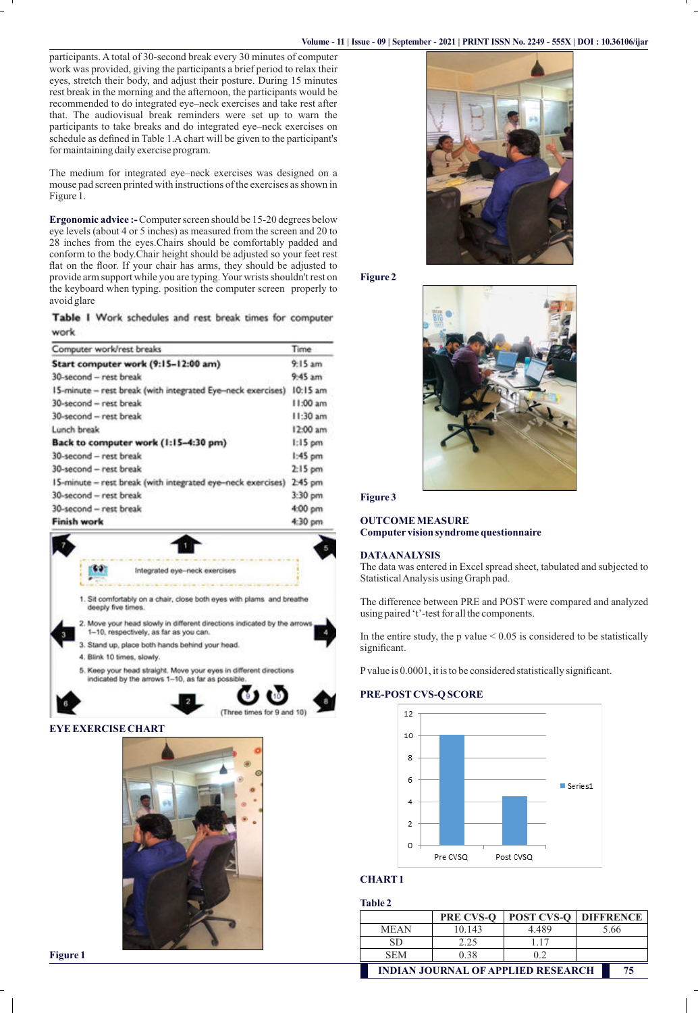participants. A total of 30-second break every 30 minutes of computer work was provided, giving the participants a brief period to relax their eyes, stretch their body, and adjust their posture. During 15 minutes rest break in the morning and the afternoon, the participants would be recommended to do integrated eye–neck exercises and take rest after that. The audiovisual break reminders were set up to warn the participants to take breaks and do integrated eye–neck exercises on schedule as defined in Table 1.A chart will be given to the participant's for maintaining daily exercise program.

The medium for integrated eye–neck exercises was designed on a mouse pad screen printed with instructions of the exercises as shown in Figure 1.

**Ergonomic advice :-** Computer screen should be 15-20 degrees below eye levels (about 4 or 5 inches) as measured from the screen and 20 to 28 inches from the eyes.Chairs should be comfortably padded and conform to the body.Chair height should be adjusted so your feet rest flat on the floor. If your chair has arms, they should be adjusted to provide arm support while you are typing. Your wrists shouldn't rest on the keyboard when typing. position the computer screen properly to avoid glare

Table I Work schedules and rest break times for computer work

| Computer work/rest breaks                                   | Time     |
|-------------------------------------------------------------|----------|
| Start computer work (9:15-12:00 am)                         |          |
| 30-second - rest break                                      | 9.45 am  |
| 15-minute - rest break (with integrated Eye-neck exercises) | 10:15 am |
| 30-second - rest break                                      |          |
| 30-second - rest break                                      | 11:30 am |
| Lunch break                                                 | 12:00 am |
| Back to computer work (1:15-4:30 pm)                        |          |
| 30-second - rest break                                      |          |
| 30-second - rest break                                      |          |
| 15-minute - rest break (with integrated eye-neck exercises) | 2:45 pm  |
| 30-second - rest break                                      | 3:30 pm  |
| 30-second - rest break                                      | 4:00 pm  |
| <b>Finish work</b>                                          |          |







**Figure 2**



# **Figure 3**

## **OUTCOME MEASURE Computer vision syndrome questionnaire**

#### **DATA ANALYSIS**

The data was entered in Excel spread sheet, tabulated and subjected to Statistical Analysis using Graph pad.

The difference between PRE and POST were compared and analyzed using paired 't'-test for all the components.

In the entire study, the  $p$  value  $\leq 0.05$  is considered to be statistically significant.

P value is 0.0001, it is to be considered statistically significant.

### **PRE-POST CVS-Q SCORE**



# **CHART 1**

## **Table 2**

|                                                 | <b>PRE CVS-O</b> | <b>POST CVS-O</b> | <b>DIFFRENCE</b> |  |  |
|-------------------------------------------------|------------------|-------------------|------------------|--|--|
| <b>MEAN</b>                                     | 10.143           | 4.489             | 5.66             |  |  |
| SD                                              | 2.25             | 117               |                  |  |  |
| <b>SEM</b>                                      | 0.38             | 02                |                  |  |  |
| <b>INDIAN JOURNAL OF APPLIED RESEARCH</b><br>75 |                  |                   |                  |  |  |

**Figure 1**